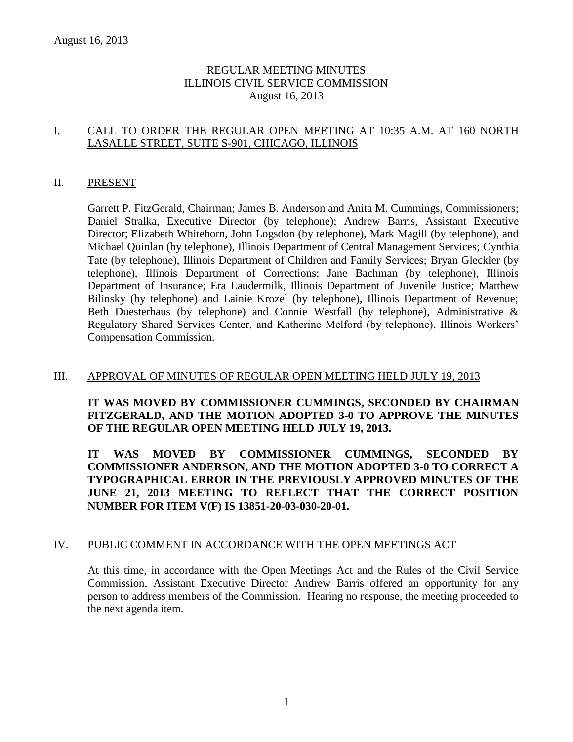# REGULAR MEETING MINUTES ILLINOIS CIVIL SERVICE COMMISSION August 16, 2013

### I. CALL TO ORDER THE REGULAR OPEN MEETING AT 10:35 A.M. AT 160 NORTH LASALLE STREET, SUITE S-901, CHICAGO, ILLINOIS

#### II. PRESENT

Garrett P. FitzGerald, Chairman; James B. Anderson and Anita M. Cummings, Commissioners; Daniel Stralka, Executive Director (by telephone); Andrew Barris, Assistant Executive Director; Elizabeth Whitehorn, John Logsdon (by telephone), Mark Magill (by telephone), and Michael Quinlan (by telephone), Illinois Department of Central Management Services; Cynthia Tate (by telephone), Illinois Department of Children and Family Services; Bryan Gleckler (by telephone), Illinois Department of Corrections; Jane Bachman (by telephone), Illinois Department of Insurance; Era Laudermilk, Illinois Department of Juvenile Justice; Matthew Bilinsky (by telephone) and Lainie Krozel (by telephone), Illinois Department of Revenue; Beth Duesterhaus (by telephone) and Connie Westfall (by telephone), Administrative & Regulatory Shared Services Center, and Katherine Melford (by telephone), Illinois Workers' Compensation Commission.

#### III. APPROVAL OF MINUTES OF REGULAR OPEN MEETING HELD JULY 19, 2013

**IT WAS MOVED BY COMMISSIONER CUMMINGS, SECONDED BY CHAIRMAN FITZGERALD, AND THE MOTION ADOPTED 3-0 TO APPROVE THE MINUTES OF THE REGULAR OPEN MEETING HELD JULY 19, 2013.** 

**IT WAS MOVED BY COMMISSIONER CUMMINGS, SECONDED BY COMMISSIONER ANDERSON, AND THE MOTION ADOPTED 3-0 TO CORRECT A TYPOGRAPHICAL ERROR IN THE PREVIOUSLY APPROVED MINUTES OF THE JUNE 21, 2013 MEETING TO REFLECT THAT THE CORRECT POSITION NUMBER FOR ITEM V(F) IS 13851-20-03-030-20-01.**

#### IV. PUBLIC COMMENT IN ACCORDANCE WITH THE OPEN MEETINGS ACT

At this time, in accordance with the Open Meetings Act and the Rules of the Civil Service Commission, Assistant Executive Director Andrew Barris offered an opportunity for any person to address members of the Commission. Hearing no response, the meeting proceeded to the next agenda item.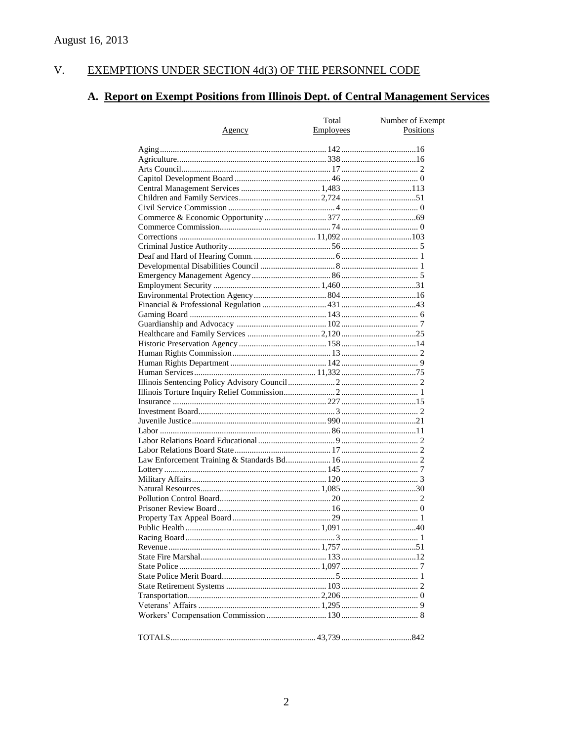#### $V<sub>r</sub>$ EXEMPTIONS UNDER SECTION 4d(3) OF THE PERSONNEL CODE

# A. Report on Exempt Positions from Illinois Dept. of Central Management Services

|               | Total     | Number of Exempt |
|---------------|-----------|------------------|
| <u>Agency</u> | Employees | Positions        |
|               |           |                  |
|               |           |                  |
|               |           |                  |
|               |           |                  |
|               |           |                  |
|               |           |                  |
|               |           |                  |
|               |           |                  |
|               |           |                  |
|               |           |                  |
|               |           |                  |
|               |           |                  |
|               |           |                  |
|               |           |                  |
|               |           |                  |
|               |           |                  |
|               |           |                  |
|               |           |                  |
|               |           |                  |
|               |           |                  |
|               |           |                  |
|               |           |                  |
|               |           |                  |
|               |           |                  |
|               |           |                  |
|               |           |                  |
|               |           |                  |
|               |           |                  |
|               |           |                  |
|               |           |                  |
|               |           |                  |
|               |           |                  |
|               |           |                  |
|               |           |                  |
|               |           |                  |
|               |           |                  |
|               |           |                  |
|               |           |                  |
|               |           |                  |
|               |           |                  |
|               |           |                  |
|               |           |                  |
|               |           |                  |
|               |           |                  |
|               |           |                  |
|               |           |                  |
|               |           |                  |
|               |           |                  |
|               |           |                  |
|               |           |                  |
|               |           |                  |
|               |           |                  |
|               |           |                  |
|               |           |                  |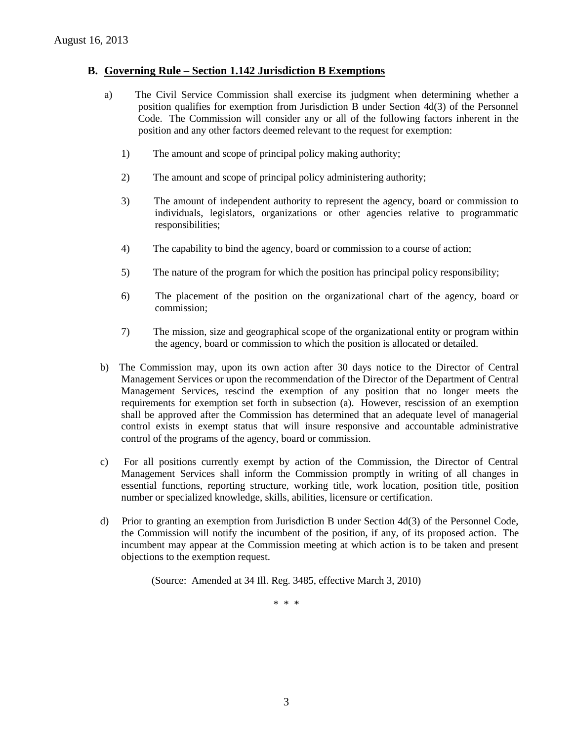#### **B. Governing Rule – Section 1.142 Jurisdiction B Exemptions**

- a) The Civil Service Commission shall exercise its judgment when determining whether a position qualifies for exemption from Jurisdiction B under Section 4d(3) of the Personnel Code. The Commission will consider any or all of the following factors inherent in the position and any other factors deemed relevant to the request for exemption:
	- 1) The amount and scope of principal policy making authority;
	- 2) The amount and scope of principal policy administering authority;
	- 3) The amount of independent authority to represent the agency, board or commission to individuals, legislators, organizations or other agencies relative to programmatic responsibilities;
	- 4) The capability to bind the agency, board or commission to a course of action;
	- 5) The nature of the program for which the position has principal policy responsibility;
	- 6) The placement of the position on the organizational chart of the agency, board or commission;
	- 7) The mission, size and geographical scope of the organizational entity or program within the agency, board or commission to which the position is allocated or detailed.
- b) The Commission may, upon its own action after 30 days notice to the Director of Central Management Services or upon the recommendation of the Director of the Department of Central Management Services, rescind the exemption of any position that no longer meets the requirements for exemption set forth in subsection (a). However, rescission of an exemption shall be approved after the Commission has determined that an adequate level of managerial control exists in exempt status that will insure responsive and accountable administrative control of the programs of the agency, board or commission.
- c) For all positions currently exempt by action of the Commission, the Director of Central Management Services shall inform the Commission promptly in writing of all changes in essential functions, reporting structure, working title, work location, position title, position number or specialized knowledge, skills, abilities, licensure or certification.
- d) Prior to granting an exemption from Jurisdiction B under Section 4d(3) of the Personnel Code, the Commission will notify the incumbent of the position, if any, of its proposed action. The incumbent may appear at the Commission meeting at which action is to be taken and present objections to the exemption request.

(Source: Amended at 34 Ill. Reg. 3485, effective March 3, 2010)

\* \* \*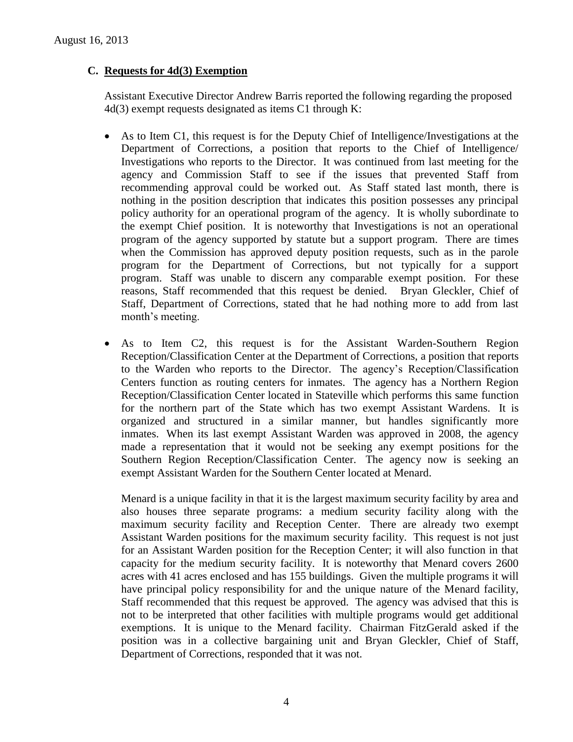### **C. Requests for 4d(3) Exemption**

Assistant Executive Director Andrew Barris reported the following regarding the proposed 4d(3) exempt requests designated as items C1 through K:

- As to Item C1, this request is for the Deputy Chief of Intelligence/Investigations at the Department of Corrections, a position that reports to the Chief of Intelligence/ Investigations who reports to the Director. It was continued from last meeting for the agency and Commission Staff to see if the issues that prevented Staff from recommending approval could be worked out. As Staff stated last month, there is nothing in the position description that indicates this position possesses any principal policy authority for an operational program of the agency. It is wholly subordinate to the exempt Chief position. It is noteworthy that Investigations is not an operational program of the agency supported by statute but a support program. There are times when the Commission has approved deputy position requests, such as in the parole program for the Department of Corrections, but not typically for a support program. Staff was unable to discern any comparable exempt position. For these reasons, Staff recommended that this request be denied. Bryan Gleckler, Chief of Staff, Department of Corrections, stated that he had nothing more to add from last month's meeting.
- As to Item C2, this request is for the Assistant Warden-Southern Region Reception/Classification Center at the Department of Corrections, a position that reports to the Warden who reports to the Director. The agency's Reception/Classification Centers function as routing centers for inmates. The agency has a Northern Region Reception/Classification Center located in Stateville which performs this same function for the northern part of the State which has two exempt Assistant Wardens. It is organized and structured in a similar manner, but handles significantly more inmates. When its last exempt Assistant Warden was approved in 2008, the agency made a representation that it would not be seeking any exempt positions for the Southern Region Reception/Classification Center. The agency now is seeking an exempt Assistant Warden for the Southern Center located at Menard.

Menard is a unique facility in that it is the largest maximum security facility by area and also houses three separate programs: a medium security facility along with the maximum security facility and Reception Center. There are already two exempt Assistant Warden positions for the maximum security facility. This request is not just for an Assistant Warden position for the Reception Center; it will also function in that capacity for the medium security facility. It is noteworthy that Menard covers 2600 acres with 41 acres enclosed and has 155 buildings. Given the multiple programs it will have principal policy responsibility for and the unique nature of the Menard facility, Staff recommended that this request be approved. The agency was advised that this is not to be interpreted that other facilities with multiple programs would get additional exemptions. It is unique to the Menard facility. Chairman FitzGerald asked if the position was in a collective bargaining unit and Bryan Gleckler, Chief of Staff, Department of Corrections, responded that it was not.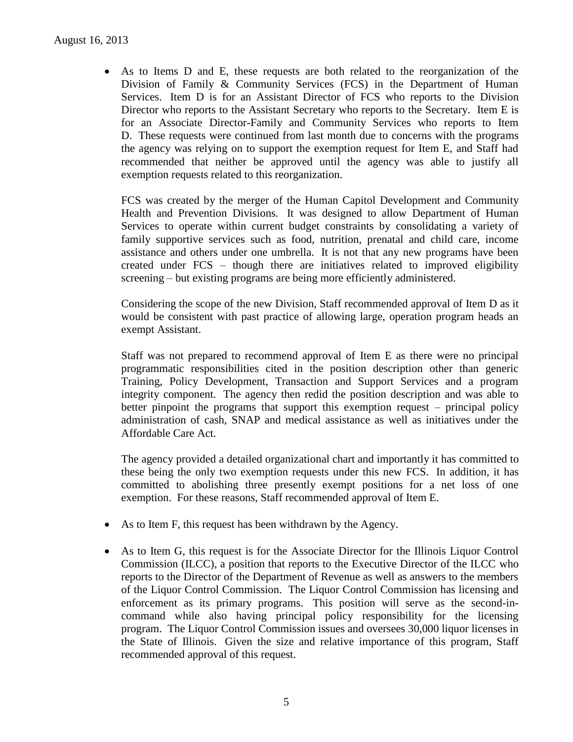As to Items D and E, these requests are both related to the reorganization of the Division of Family & Community Services (FCS) in the Department of Human Services. Item D is for an Assistant Director of FCS who reports to the Division Director who reports to the Assistant Secretary who reports to the Secretary. Item E is for an Associate Director-Family and Community Services who reports to Item D. These requests were continued from last month due to concerns with the programs the agency was relying on to support the exemption request for Item E, and Staff had recommended that neither be approved until the agency was able to justify all exemption requests related to this reorganization.

FCS was created by the merger of the Human Capitol Development and Community Health and Prevention Divisions. It was designed to allow Department of Human Services to operate within current budget constraints by consolidating a variety of family supportive services such as food, nutrition, prenatal and child care, income assistance and others under one umbrella. It is not that any new programs have been created under FCS – though there are initiatives related to improved eligibility screening – but existing programs are being more efficiently administered.

Considering the scope of the new Division, Staff recommended approval of Item D as it would be consistent with past practice of allowing large, operation program heads an exempt Assistant.

Staff was not prepared to recommend approval of Item E as there were no principal programmatic responsibilities cited in the position description other than generic Training, Policy Development, Transaction and Support Services and a program integrity component. The agency then redid the position description and was able to better pinpoint the programs that support this exemption request – principal policy administration of cash, SNAP and medical assistance as well as initiatives under the Affordable Care Act.

The agency provided a detailed organizational chart and importantly it has committed to these being the only two exemption requests under this new FCS. In addition, it has committed to abolishing three presently exempt positions for a net loss of one exemption. For these reasons, Staff recommended approval of Item E.

- As to Item F, this request has been withdrawn by the Agency.
- As to Item G, this request is for the Associate Director for the Illinois Liquor Control Commission (ILCC), a position that reports to the Executive Director of the ILCC who reports to the Director of the Department of Revenue as well as answers to the members of the Liquor Control Commission. The Liquor Control Commission has licensing and enforcement as its primary programs. This position will serve as the second-incommand while also having principal policy responsibility for the licensing program. The Liquor Control Commission issues and oversees 30,000 liquor licenses in the State of Illinois. Given the size and relative importance of this program, Staff recommended approval of this request.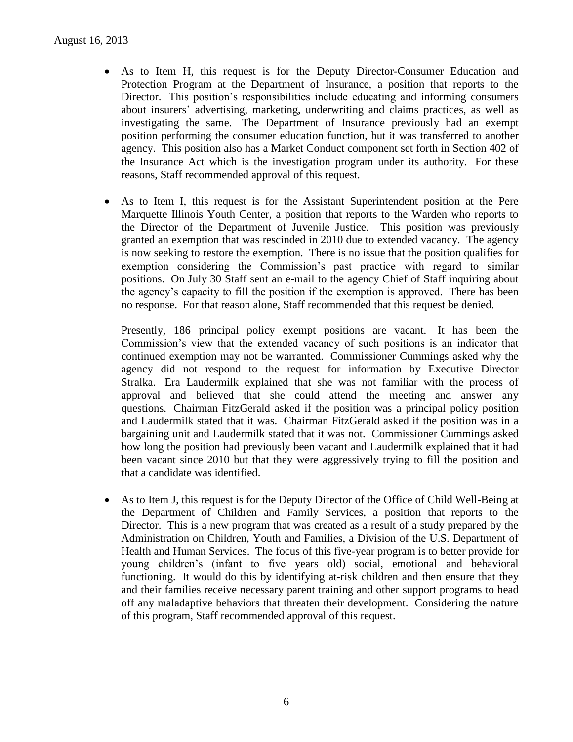- As to Item H, this request is for the Deputy Director-Consumer Education and Protection Program at the Department of Insurance, a position that reports to the Director. This position's responsibilities include educating and informing consumers about insurers' advertising, marketing, underwriting and claims practices, as well as investigating the same. The Department of Insurance previously had an exempt position performing the consumer education function, but it was transferred to another agency. This position also has a Market Conduct component set forth in Section 402 of the Insurance Act which is the investigation program under its authority. For these reasons, Staff recommended approval of this request.
- As to Item I, this request is for the Assistant Superintendent position at the Pere Marquette Illinois Youth Center, a position that reports to the Warden who reports to the Director of the Department of Juvenile Justice. This position was previously granted an exemption that was rescinded in 2010 due to extended vacancy. The agency is now seeking to restore the exemption. There is no issue that the position qualifies for exemption considering the Commission's past practice with regard to similar positions. On July 30 Staff sent an e-mail to the agency Chief of Staff inquiring about the agency's capacity to fill the position if the exemption is approved. There has been no response. For that reason alone, Staff recommended that this request be denied.

Presently, 186 principal policy exempt positions are vacant. It has been the Commission's view that the extended vacancy of such positions is an indicator that continued exemption may not be warranted. Commissioner Cummings asked why the agency did not respond to the request for information by Executive Director Stralka. Era Laudermilk explained that she was not familiar with the process of approval and believed that she could attend the meeting and answer any questions. Chairman FitzGerald asked if the position was a principal policy position and Laudermilk stated that it was. Chairman FitzGerald asked if the position was in a bargaining unit and Laudermilk stated that it was not. Commissioner Cummings asked how long the position had previously been vacant and Laudermilk explained that it had been vacant since 2010 but that they were aggressively trying to fill the position and that a candidate was identified.

 As to Item J, this request is for the Deputy Director of the Office of Child Well-Being at the Department of Children and Family Services, a position that reports to the Director. This is a new program that was created as a result of a study prepared by the Administration on Children, Youth and Families, a Division of the U.S. Department of Health and Human Services. The focus of this five-year program is to better provide for young children's (infant to five years old) social, emotional and behavioral functioning. It would do this by identifying at-risk children and then ensure that they and their families receive necessary parent training and other support programs to head off any maladaptive behaviors that threaten their development. Considering the nature of this program, Staff recommended approval of this request.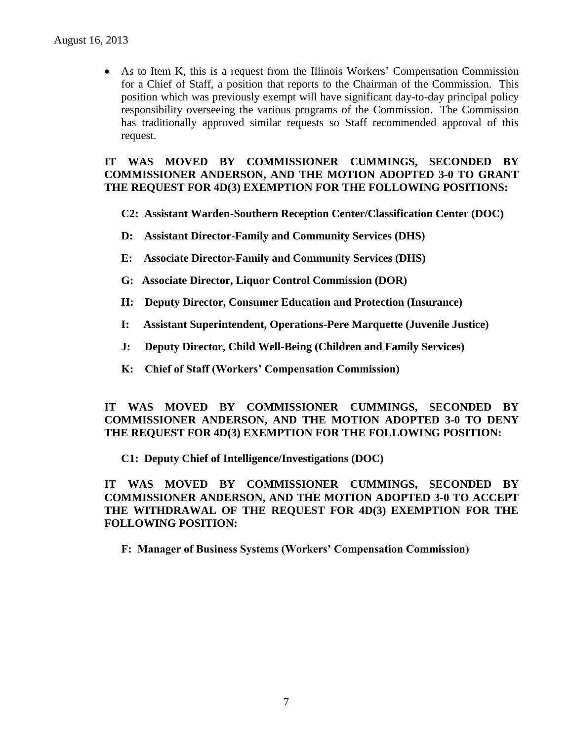As to Item K, this is a request from the Illinois Workers' Compensation Commission for a Chief of Staff, a position that reports to the Chairman of the Commission. This position which was previously exempt will have significant day-to-day principal policy responsibility overseeing the various programs of the Commission. The Commission has traditionally approved similar requests so Staff recommended approval of this request.

#### **IT WAS MOVED BY COMMISSIONER CUMMINGS, SECONDED BY COMMISSIONER ANDERSON, AND THE MOTION ADOPTED 3-0 TO GRANT THE REQUEST FOR 4D(3) EXEMPTION FOR THE FOLLOWING POSITIONS:**

- **C2: Assistant Warden-Southern Reception Center/Classification Center (DOC)**
- **D: Assistant Director-Family and Community Services (DHS)**
- **E: Associate Director-Family and Community Services (DHS)**
- **G: Associate Director, Liquor Control Commission (DOR)**
- **H: Deputy Director, Consumer Education and Protection (Insurance)**
- **I: Assistant Superintendent, Operations-Pere Marquette (Juvenile Justice)**
- **J: Deputy Director, Child Well-Being (Children and Family Services)**
- **K: Chief of Staff (Workers' Compensation Commission)**

### **IT WAS MOVED BY COMMISSIONER CUMMINGS, SECONDED BY COMMISSIONER ANDERSON, AND THE MOTION ADOPTED 3-0 TO DENY THE REQUEST FOR 4D(3) EXEMPTION FOR THE FOLLOWING POSITION:**

**C1: Deputy Chief of Intelligence/Investigations (DOC)**

**IT WAS MOVED BY COMMISSIONER CUMMINGS, SECONDED BY COMMISSIONER ANDERSON, AND THE MOTION ADOPTED 3-0 TO ACCEPT THE WITHDRAWAL OF THE REQUEST FOR 4D(3) EXEMPTION FOR THE FOLLOWING POSITION:**

**F: Manager of Business Systems (Workers' Compensation Commission)**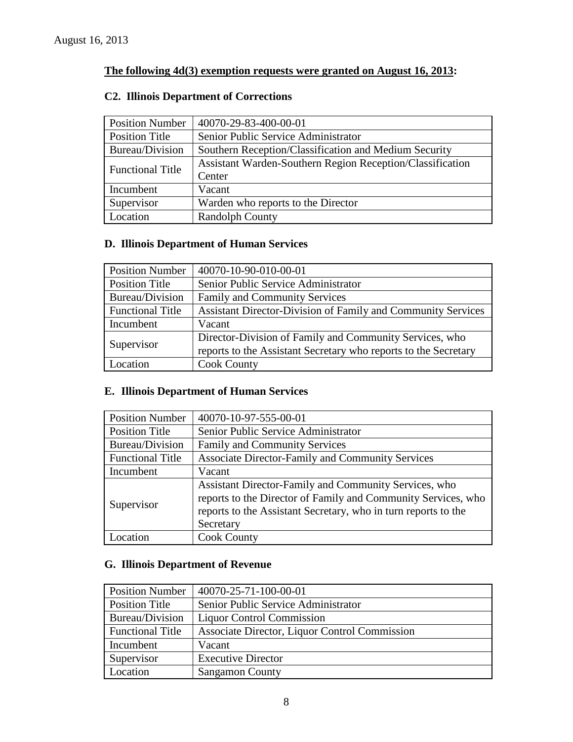# **The following 4d(3) exemption requests were granted on August 16, 2013:**

# **C2. Illinois Department of Corrections**

| <b>Position Number</b>  | 40070-29-83-400-00-01                                     |  |
|-------------------------|-----------------------------------------------------------|--|
| <b>Position Title</b>   | Senior Public Service Administrator                       |  |
| Bureau/Division         | Southern Reception/Classification and Medium Security     |  |
| <b>Functional Title</b> | Assistant Warden-Southern Region Reception/Classification |  |
|                         | Center                                                    |  |
| Incumbent               | Vacant                                                    |  |
| Supervisor              | Warden who reports to the Director                        |  |
| Location                | <b>Randolph County</b>                                    |  |

# **D. Illinois Department of Human Services**

| <b>Position Number</b>  | 40070-10-90-010-00-01                                           |
|-------------------------|-----------------------------------------------------------------|
| Position Title          | Senior Public Service Administrator                             |
| Bureau/Division         | <b>Family and Community Services</b>                            |
| <b>Functional Title</b> | Assistant Director-Division of Family and Community Services    |
| Incumbent               | Vacant                                                          |
| Supervisor              | Director-Division of Family and Community Services, who         |
|                         | reports to the Assistant Secretary who reports to the Secretary |
| Location                | <b>Cook County</b>                                              |

# **E. Illinois Department of Human Services**

| <b>Position Number</b>  | 40070-10-97-555-00-01                                                                                                                                                                                 |
|-------------------------|-------------------------------------------------------------------------------------------------------------------------------------------------------------------------------------------------------|
| <b>Position Title</b>   | Senior Public Service Administrator                                                                                                                                                                   |
| Bureau/Division         | <b>Family and Community Services</b>                                                                                                                                                                  |
| <b>Functional Title</b> | <b>Associate Director-Family and Community Services</b>                                                                                                                                               |
| Incumbent               | Vacant                                                                                                                                                                                                |
| Supervisor              | Assistant Director-Family and Community Services, who<br>reports to the Director of Family and Community Services, who<br>reports to the Assistant Secretary, who in turn reports to the<br>Secretary |
| <i>L</i> ocation        | <b>Cook County</b>                                                                                                                                                                                    |

# **G. Illinois Department of Revenue**

| <b>Position Number</b>  | $ 40070-25-71-100-00-01$                      |
|-------------------------|-----------------------------------------------|
| <b>Position Title</b>   | Senior Public Service Administrator           |
| Bureau/Division         | <b>Liquor Control Commission</b>              |
| <b>Functional Title</b> | Associate Director, Liquor Control Commission |
| Incumbent               | Vacant                                        |
| Supervisor              | <b>Executive Director</b>                     |
| Location                | <b>Sangamon County</b>                        |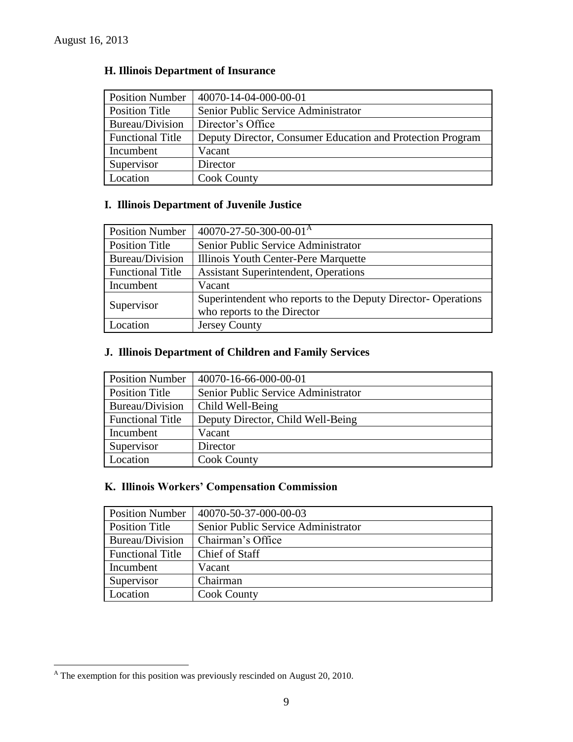| <b>Position Number</b>  | 40070-14-04-000-00-01                                      |
|-------------------------|------------------------------------------------------------|
| <b>Position Title</b>   | Senior Public Service Administrator                        |
| Bureau/Division         | Director's Office                                          |
| <b>Functional Title</b> | Deputy Director, Consumer Education and Protection Program |
| Incumbent               | Vacant                                                     |
| Supervisor              | Director                                                   |
| <b>Location</b>         | <b>Cook County</b>                                         |

# **H. Illinois Department of Insurance**

# **I. Illinois Department of Juvenile Justice**

| <b>Position Number</b>  | $40070 - 27 - 50 - 300 - 00 - 01A$                           |
|-------------------------|--------------------------------------------------------------|
| <b>Position Title</b>   | Senior Public Service Administrator                          |
| Bureau/Division         | Illinois Youth Center-Pere Marquette                         |
| <b>Functional Title</b> | <b>Assistant Superintendent, Operations</b>                  |
| Incumbent               | Vacant                                                       |
| Supervisor              | Superintendent who reports to the Deputy Director-Operations |
|                         | who reports to the Director                                  |
| Location                | Jersey County                                                |

# **J. Illinois Department of Children and Family Services**

| <b>Position Number</b>  | 40070-16-66-000-00-01               |
|-------------------------|-------------------------------------|
| <b>Position Title</b>   | Senior Public Service Administrator |
| Bureau/Division         | Child Well-Being                    |
| <b>Functional Title</b> | Deputy Director, Child Well-Being   |
| Incumbent               | Vacant                              |
| Supervisor              | Director                            |
| Location                | <b>Cook County</b>                  |

# **K. Illinois Workers' Compensation Commission**

| <b>Position Number</b>  | 40070-50-37-000-00-03               |
|-------------------------|-------------------------------------|
| <b>Position Title</b>   | Senior Public Service Administrator |
| Bureau/Division         | Chairman's Office                   |
| <b>Functional Title</b> | Chief of Staff                      |
| Incumbent               | Vacant                              |
| Supervisor              | Chairman                            |
| Location                | <b>Cook County</b>                  |

 $\overline{a}$ 

 $^{\text{A}}$  The exemption for this position was previously rescinded on August 20, 2010.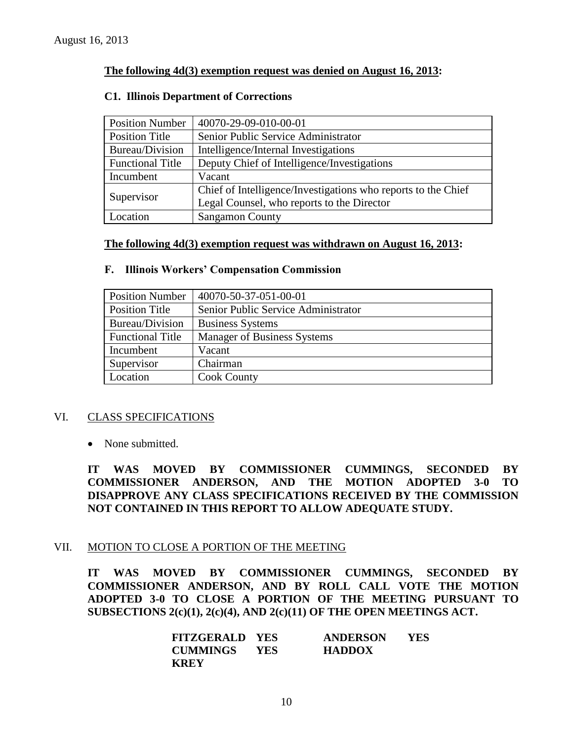### **The following 4d(3) exemption request was denied on August 16, 2013:**

#### **C1. Illinois Department of Corrections**

| <b>Position Number</b>  | 40070-29-09-010-00-01                                         |  |
|-------------------------|---------------------------------------------------------------|--|
| <b>Position Title</b>   | Senior Public Service Administrator                           |  |
| Bureau/Division         | Intelligence/Internal Investigations                          |  |
| <b>Functional Title</b> | Deputy Chief of Intelligence/Investigations                   |  |
| Incumbent               | Vacant                                                        |  |
| Supervisor              | Chief of Intelligence/Investigations who reports to the Chief |  |
|                         | Legal Counsel, who reports to the Director                    |  |
| Location                | <b>Sangamon County</b>                                        |  |

#### **The following 4d(3) exemption request was withdrawn on August 16, 2013:**

#### **F. Illinois Workers' Compensation Commission**

| <b>Position Number</b>  | 40070-50-37-051-00-01               |  |  |
|-------------------------|-------------------------------------|--|--|
| <b>Position Title</b>   | Senior Public Service Administrator |  |  |
| Bureau/Division         | <b>Business Systems</b>             |  |  |
| <b>Functional Title</b> | <b>Manager of Business Systems</b>  |  |  |
| Incumbent               | Vacant                              |  |  |
| Supervisor              | Chairman                            |  |  |
| Location                | <b>Cook County</b>                  |  |  |

#### VI. CLASS SPECIFICATIONS

• None submitted.

**IT WAS MOVED BY COMMISSIONER CUMMINGS, SECONDED BY COMMISSIONER ANDERSON, AND THE MOTION ADOPTED 3-0 TO DISAPPROVE ANY CLASS SPECIFICATIONS RECEIVED BY THE COMMISSION NOT CONTAINED IN THIS REPORT TO ALLOW ADEQUATE STUDY.** 

# VII. MOTION TO CLOSE A PORTION OF THE MEETING

**IT WAS MOVED BY COMMISSIONER CUMMINGS, SECONDED BY COMMISSIONER ANDERSON, AND BY ROLL CALL VOTE THE MOTION ADOPTED 3-0 TO CLOSE A PORTION OF THE MEETING PURSUANT TO SUBSECTIONS 2(c)(1), 2(c)(4), AND 2(c)(11) OF THE OPEN MEETINGS ACT.**

| <b>FITZGERALD YES</b> |            | <b>ANDERSON</b> | YES |
|-----------------------|------------|-----------------|-----|
| <b>CUMMINGS</b>       | <b>YES</b> | <b>HADDOX</b>   |     |
| <b>KREY</b>           |            |                 |     |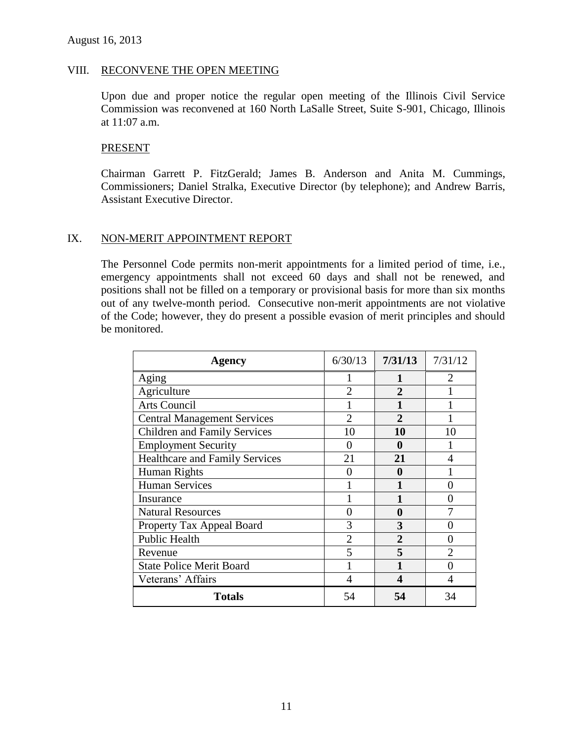#### VIII. RECONVENE THE OPEN MEETING

Upon due and proper notice the regular open meeting of the Illinois Civil Service Commission was reconvened at 160 North LaSalle Street, Suite S-901, Chicago, Illinois at 11:07 a.m.

#### PRESENT

Chairman Garrett P. FitzGerald; James B. Anderson and Anita M. Cummings, Commissioners; Daniel Stralka, Executive Director (by telephone); and Andrew Barris, Assistant Executive Director.

#### IX. NON-MERIT APPOINTMENT REPORT

The Personnel Code permits non-merit appointments for a limited period of time, i.e., emergency appointments shall not exceed 60 days and shall not be renewed, and positions shall not be filled on a temporary or provisional basis for more than six months out of any twelve-month period. Consecutive non-merit appointments are not violative of the Code; however, they do present a possible evasion of merit principles and should be monitored.

| <b>Agency</b>                         | 6/30/13        | 7/31/13        | 7/31/12 |
|---------------------------------------|----------------|----------------|---------|
| Aging                                 |                |                | 2       |
| Agriculture                           | $\mathfrak{D}$ | $\overline{2}$ |         |
| <b>Arts Council</b>                   |                |                |         |
| <b>Central Management Services</b>    |                | $\mathbf{2}$   |         |
| <b>Children and Family Services</b>   | 10             | 10             | 10      |
| <b>Employment Security</b>            |                | 0              |         |
| <b>Healthcare and Family Services</b> | 21             | 21             |         |
| Human Rights                          | 0              | 0              |         |
| <b>Human Services</b>                 |                | 1              |         |
| Insurance                             |                |                | 0       |
| <b>Natural Resources</b>              |                | 0              |         |
| Property Tax Appeal Board             | 3              | 3              |         |
| <b>Public Health</b>                  | $\overline{2}$ | $\overline{2}$ | 0       |
| Revenue                               | 5              | 5              |         |
| <b>State Police Merit Board</b>       |                | 1              |         |
| Veterans' Affairs                     |                | 4              |         |
| <b>Totals</b>                         | 54             | 54             | 34      |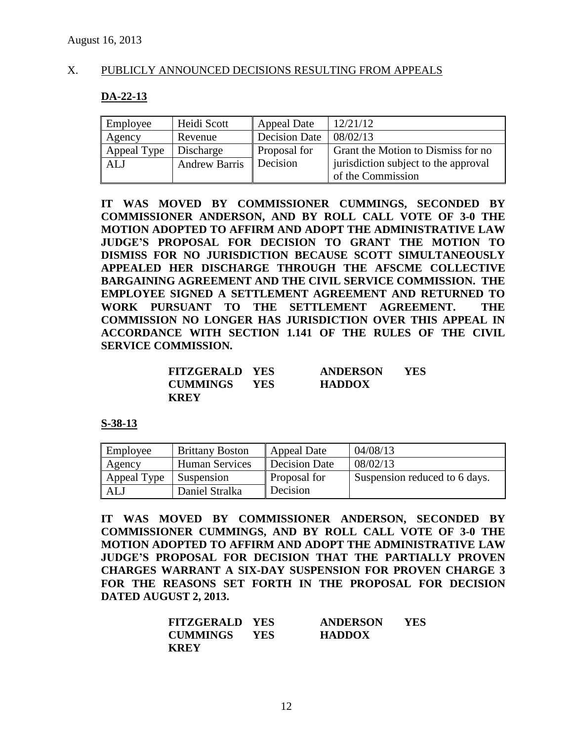### X. PUBLICLY ANNOUNCED DECISIONS RESULTING FROM APPEALS

#### **DA-22-13**

| Employee    | Heidi Scott          | Appeal Date          | 12/21/12                             |
|-------------|----------------------|----------------------|--------------------------------------|
| Agency      | Revenue              | <b>Decision Date</b> | 08/02/13                             |
| Appeal Type | Discharge            | Proposal for         | Grant the Motion to Dismiss for no   |
| ALJ         | <b>Andrew Barris</b> | Decision             | jurisdiction subject to the approval |
|             |                      |                      | of the Commission                    |

**IT WAS MOVED BY COMMISSIONER CUMMINGS, SECONDED BY COMMISSIONER ANDERSON, AND BY ROLL CALL VOTE OF 3-0 THE MOTION ADOPTED TO AFFIRM AND ADOPT THE ADMINISTRATIVE LAW JUDGE'S PROPOSAL FOR DECISION TO GRANT THE MOTION TO DISMISS FOR NO JURISDICTION BECAUSE SCOTT SIMULTANEOUSLY APPEALED HER DISCHARGE THROUGH THE AFSCME COLLECTIVE BARGAINING AGREEMENT AND THE CIVIL SERVICE COMMISSION. THE EMPLOYEE SIGNED A SETTLEMENT AGREEMENT AND RETURNED TO WORK PURSUANT TO THE SETTLEMENT AGREEMENT. THE COMMISSION NO LONGER HAS JURISDICTION OVER THIS APPEAL IN ACCORDANCE WITH SECTION 1.141 OF THE RULES OF THE CIVIL SERVICE COMMISSION.**

| <b>FITZGERALD YES</b> |            | <b>ANDERSON</b> | YES |
|-----------------------|------------|-----------------|-----|
| <b>CUMMINGS</b>       | <b>YES</b> | <b>HADDOX</b>   |     |
| <b>KREY</b>           |            |                 |     |

#### **S-38-13**

| Employee    | <b>Brittany Boston</b> | Appeal Date         | 04/08/13                      |
|-------------|------------------------|---------------------|-------------------------------|
| Agency      | <b>Human Services</b>  | Decision Date       | 08/02/13                      |
| Appeal Type | Suspension             | <b>Proposal for</b> | Suspension reduced to 6 days. |
| ALJ         | Daniel Stralka         | Decision            |                               |

**IT WAS MOVED BY COMMISSIONER ANDERSON, SECONDED BY COMMISSIONER CUMMINGS, AND BY ROLL CALL VOTE OF 3-0 THE MOTION ADOPTED TO AFFIRM AND ADOPT THE ADMINISTRATIVE LAW JUDGE'S PROPOSAL FOR DECISION THAT THE PARTIALLY PROVEN CHARGES WARRANT A SIX-DAY SUSPENSION FOR PROVEN CHARGE 3 FOR THE REASONS SET FORTH IN THE PROPOSAL FOR DECISION DATED AUGUST 2, 2013.**

| <b>FITZGERALD YES</b> |            | <b>ANDERSON</b> | YES |
|-----------------------|------------|-----------------|-----|
| CUMMINGS              | <b>YES</b> | <b>HADDOX</b>   |     |
| <b>KREY</b>           |            |                 |     |